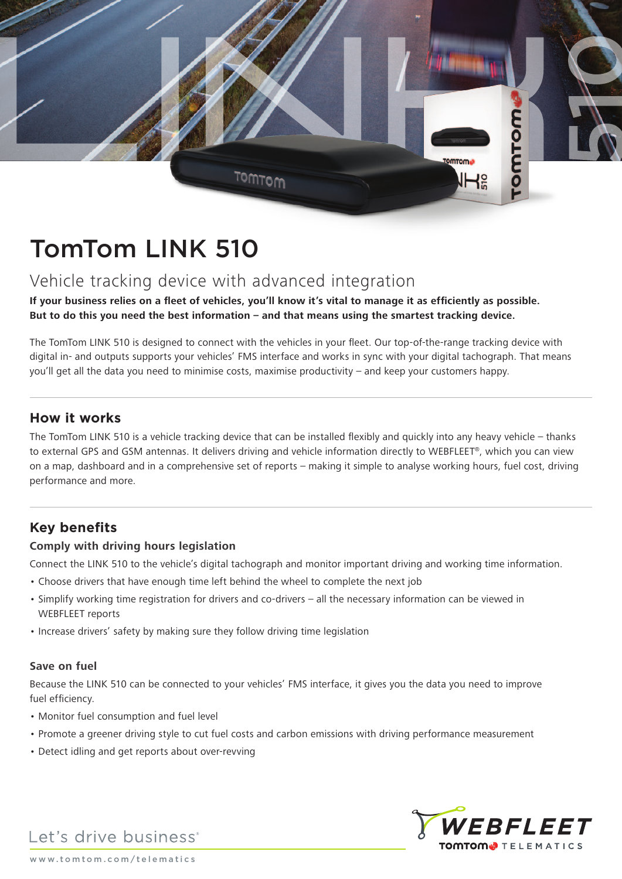

# TomTom LINK 510

# Vehicle tracking device with advanced integration

**If your business relies on a fleet of vehicles, you'll know it's vital to manage it as efficiently as possible. But to do this you need the best information – and that means using the smartest tracking device.** 

The TomTom LINK 510 is designed to connect with the vehicles in your fleet. Our top-of-the-range tracking device with digital in- and outputs supports your vehicles' FMS interface and works in sync with your digital tachograph. That means you'll get all the data you need to minimise costs, maximise productivity – and keep your customers happy.

### **How it works**

The TomTom LINK 510 is a vehicle tracking device that can be installed flexibly and quickly into any heavy vehicle – thanks to external GPS and GSM antennas. It delivers driving and vehicle information directly to WEBFLEET®, which you can view on a map, dashboard and in a comprehensive set of reports – making it simple to analyse working hours, fuel cost, driving performance and more.

## **Key benefits**

#### **Comply with driving hours legislation**

Connect the LINK 510 to the vehicle's digital tachograph and monitor important driving and working time information.

- Choose drivers that have enough time left behind the wheel to complete the next job
- Simplify working time registration for drivers and co-drivers all the necessary information can be viewed in WEBFLEET reports
- Increase drivers' safety by making sure they follow driving time legislation

#### **Save on fuel**

Because the LINK 510 can be connected to your vehicles' FMS interface, it gives you the data you need to improve fuel efficiency.

- Monitor fuel consumption and fuel level
- Promote a greener driving style to cut fuel costs and carbon emissions with driving performance measurement
- Detect idling and get reports about over-revving



Let's drive business<sup>®</sup>